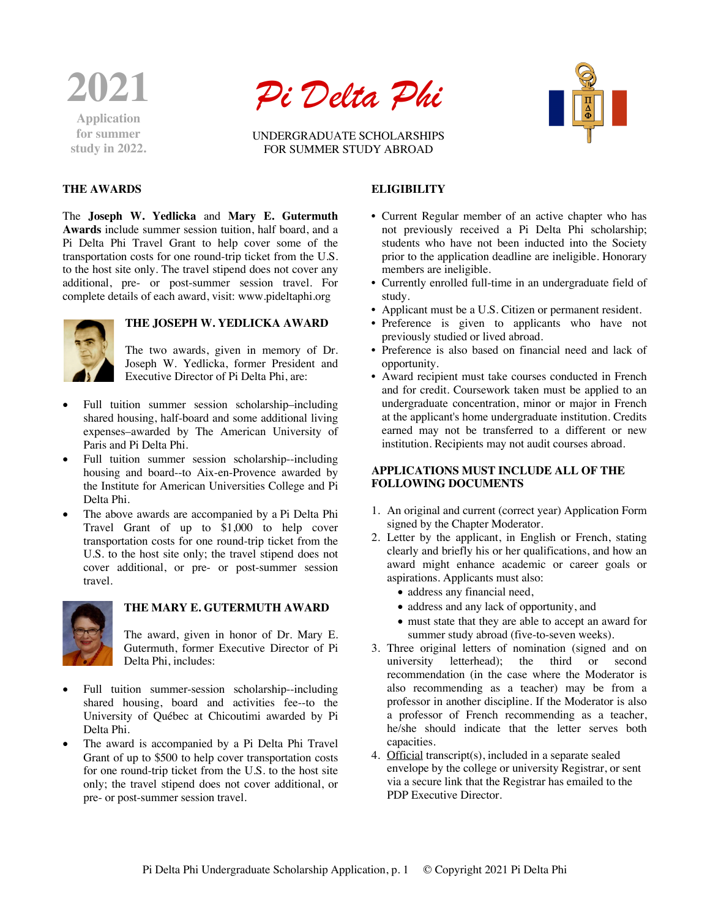

**for summer study in 2022.**

# *Pi Delta Phi*

UNDERGRADUATE SCHOLARSHIPS FOR SUMMER STUDY ABROAD



## **THE AWARDS**

The **Joseph W. Yedlicka** and **Mary E. Gutermuth Awards** include summer session tuition, half board, and a Pi Delta Phi Travel Grant to help cover some of the transportation costs for one round-trip ticket from the U.S. to the host site only. The travel stipend does not cover any additional, pre- or post-summer session travel. For complete details of each award, visit: www.pideltaphi.org



## **THE JOSEPH W. YEDLICKA AWARD**

The two awards, given in memory of Dr. Joseph W. Yedlicka, former President and Executive Director of Pi Delta Phi, are:

- Full tuition summer session scholarship–including shared housing, half-board and some additional living expenses–awarded by The American University of Paris and Pi Delta Phi.
- Full tuition summer session scholarship--including housing and board--to Aix-en-Provence awarded by the Institute for American Universities College and Pi Delta Phi.
- The above awards are accompanied by a Pi Delta Phi Travel Grant of up to \$1,000 to help cover transportation costs for one round-trip ticket from the U.S. to the host site only; the travel stipend does not cover additional, or pre- or post-summer session travel.



## **THE MARY E. GUTERMUTH AWARD**

The award, given in honor of Dr. Mary E. Gutermuth, former Executive Director of Pi Delta Phi, includes:

- Full tuition summer-session scholarship--including shared housing, board and activities fee--to the University of Québec at Chicoutimi awarded by Pi Delta Phi.
- The award is accompanied by a Pi Delta Phi Travel Grant of up to \$500 to help cover transportation costs for one round-trip ticket from the U.S. to the host site only; the travel stipend does not cover additional, or pre- or post-summer session travel.

# **ELIGIBILITY**

- Current Regular member of an active chapter who has not previously received a Pi Delta Phi scholarship; students who have not been inducted into the Society prior to the application deadline are ineligible. Honorary members are ineligible.
- Currently enrolled full-time in an undergraduate field of study.
- Applicant must be a U.S. Citizen or permanent resident.
- Preference is given to applicants who have not previously studied or lived abroad.
- Preference is also based on financial need and lack of opportunity.
- Award recipient must take courses conducted in French and for credit. Coursework taken must be applied to an undergraduate concentration, minor or major in French at the applicant's home undergraduate institution. Credits earned may not be transferred to a different or new institution. Recipients may not audit courses abroad.

### **APPLICATIONS MUST INCLUDE ALL OF THE FOLLOWING DOCUMENTS**

- 1. An original and current (correct year) Application Form signed by the Chapter Moderator.
- 2. Letter by the applicant, in English or French, stating clearly and briefly his or her qualifications, and how an award might enhance academic or career goals or aspirations. Applicants must also:
	- address any financial need,
	- address and any lack of opportunity, and
	- must state that they are able to accept an award for summer study abroad (five-to-seven weeks).
- 3. Three original letters of nomination (signed and on university letterhead); the third or second recommendation (in the case where the Moderator is also recommending as a teacher) may be from a professor in another discipline. If the Moderator is also a professor of French recommending as a teacher, he/she should indicate that the letter serves both capacities.
- 4. Official transcript(s), included in a separate sealed envelope by the college or university Registrar, or sent via a secure link that the Registrar has emailed to the PDP Executive Director.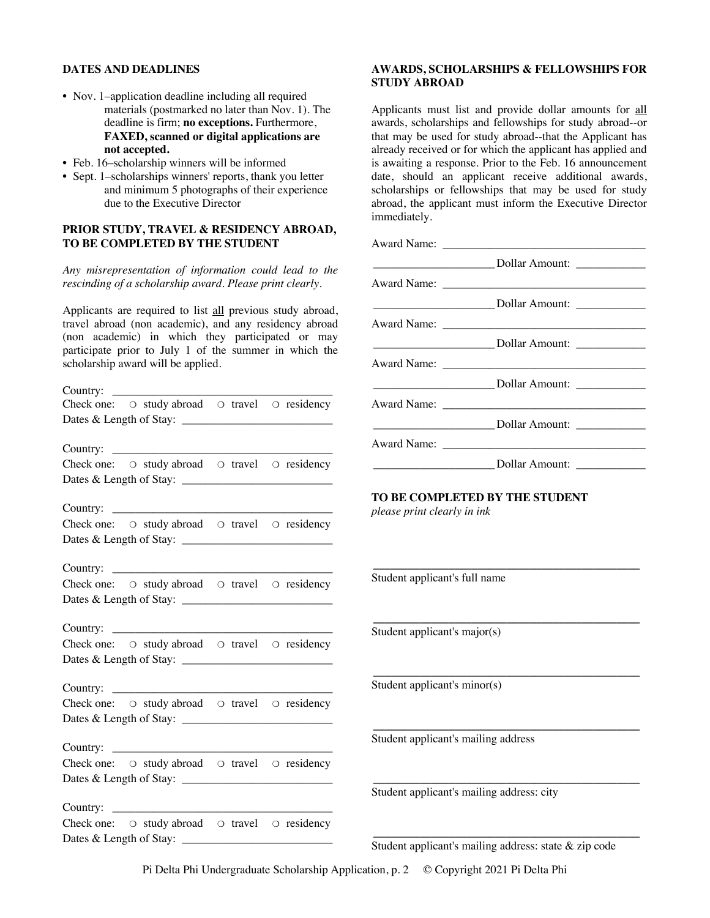#### **DATES AND DEADLINES**

- Nov. 1–application deadline including all required materials (postmarked no later than Nov. 1). The deadline is firm; **no exceptions.** Furthermore, **FAXED, scanned or digital applications are not accepted.**
- Feb. 16–scholarship winners will be informed
- Sept. 1–scholarships winners' reports, thank you letter and minimum 5 photographs of their experience due to the Executive Director

#### **PRIOR STUDY, TRAVEL & RESIDENCY ABROAD, TO BE COMPLETED BY THE STUDENT**

*Any misrepresentation of information could lead to the rescinding of a scholarship award. Please print clearly.*

Applicants are required to list all previous study abroad, travel abroad (non academic), and any residency abroad (non academic) in which they participated or may participate prior to July 1 of the summer in which the scholarship award will be applied.

| Country: |                                                                  |  |
|----------|------------------------------------------------------------------|--|
|          | Check one: $\circ$ study abroad $\circ$ travel $\circ$ residency |  |
|          |                                                                  |  |
|          |                                                                  |  |
|          |                                                                  |  |
|          | Check one: O study abroad O travel O residency                   |  |
|          |                                                                  |  |
|          |                                                                  |  |
|          |                                                                  |  |
|          | Check one: $\circ$ study abroad $\circ$ travel $\circ$ residency |  |
|          |                                                                  |  |
|          |                                                                  |  |
|          |                                                                  |  |
|          | Check one: O study abroad O travel O residency                   |  |
|          |                                                                  |  |
|          |                                                                  |  |
|          | Country: $\qquad \qquad$                                         |  |
|          | Check one: $\circ$ study abroad $\circ$ travel $\circ$ residency |  |
|          |                                                                  |  |
|          |                                                                  |  |
|          |                                                                  |  |
|          | Check one: $\circ$ study abroad $\circ$ travel $\circ$ residency |  |
|          |                                                                  |  |
|          |                                                                  |  |
|          | Country:                                                         |  |
|          | Check one: $\circ$ study abroad $\circ$ travel $\circ$ residency |  |
|          |                                                                  |  |
|          |                                                                  |  |
|          | Country: $\qquad \qquad$                                         |  |
|          | Check one: $\circ$ study abroad $\circ$ travel $\circ$ residency |  |
|          |                                                                  |  |
|          |                                                                  |  |

### **AWARDS, SCHOLARSHIPS & FELLOWSHIPS FOR STUDY ABROAD**

Applicants must list and provide dollar amounts for all awards, scholarships and fellowships for study abroad--or that may be used for study abroad--that the Applicant has already received or for which the applicant has applied and is awaiting a response. Prior to the Feb. 16 announcement date, should an applicant receive additional awards, scholarships or fellowships that may be used for study abroad, the applicant must inform the Executive Director immediately.

| Dollar Amount: _____________ |  |
|------------------------------|--|

#### **TO BE COMPLETED BY THE STUDENT**

**\_\_\_\_\_\_\_\_\_\_\_\_\_\_\_\_\_\_\_\_\_\_\_\_\_\_\_\_\_\_\_\_\_\_\_\_\_\_\_\_\_\_\_\_\_\_**

**\_\_\_\_\_\_\_\_\_\_\_\_\_\_\_\_\_\_\_\_\_\_\_\_\_\_\_\_\_\_\_\_\_\_\_\_\_\_\_\_\_\_\_\_\_\_**

**\_\_\_\_\_\_\_\_\_\_\_\_\_\_\_\_\_\_\_\_\_\_\_\_\_\_\_\_\_\_\_\_\_\_\_\_\_\_\_\_\_\_\_\_\_\_**

**\_\_\_\_\_\_\_\_\_\_\_\_\_\_\_\_\_\_\_\_\_\_\_\_\_\_\_\_\_\_\_\_\_\_\_\_\_\_\_\_\_\_\_\_\_\_**

**\_\_\_\_\_\_\_\_\_\_\_\_\_\_\_\_\_\_\_\_\_\_\_\_\_\_\_\_\_\_\_\_\_\_\_\_\_\_\_\_\_\_\_\_\_\_**

**\_\_\_\_\_\_\_\_\_\_\_\_\_\_\_\_\_\_\_\_\_\_\_\_\_\_\_\_\_\_\_\_\_\_\_\_\_\_\_\_\_\_\_\_\_\_**

*please print clearly in ink*

Student applicant's full name

Student applicant's major(s)

Student applicant's minor(s)

Student applicant's mailing address

Student applicant's mailing address: city

Student applicant's mailing address: state & zip code

Pi Delta Phi Undergraduate Scholarship Application, p. 2 © Copyright 2021 Pi Delta Phi